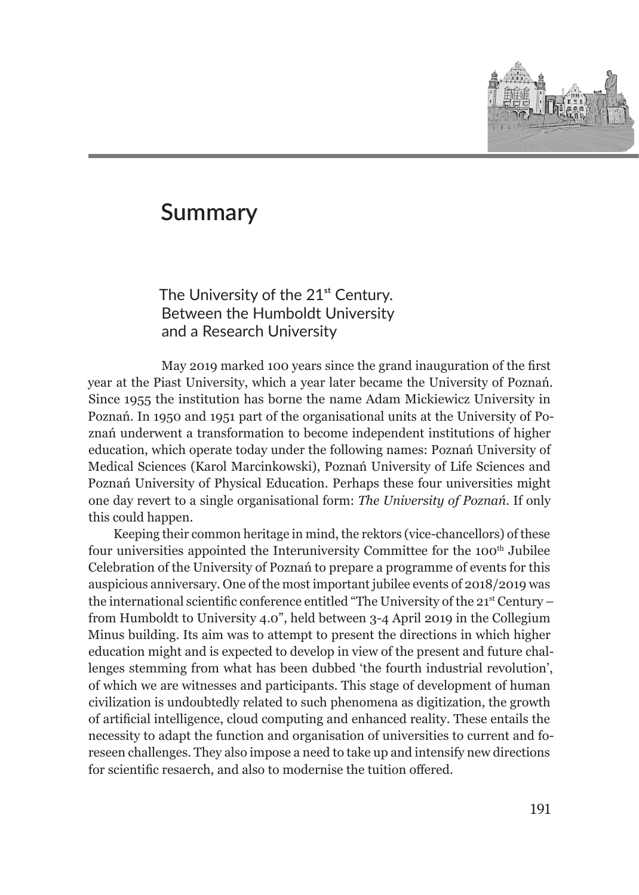

## **Summary**

The University of the 21<sup>st</sup> Century. Between the Humboldt University and a Research University

May 2019 marked 100 years since the grand inauguration of the first year at the Piast University, which a year later became the University of Poznań. Since 1955 the institution has borne the name Adam Mickiewicz University in Poznań. In 1950 and 1951 part of the organisational units at the University of Poznań underwent a transformation to become independent institutions of higher education, which operate today under the following names: Poznań University of Medical Sciences (Karol Marcinkowski), Poznań University of Life Sciences and Poznań University of Physical Education. Perhaps these four universities might one day revert to a single organisational form: *The University of Poznań*. If only this could happen.

Keeping their common heritage in mind, the rektors (vice-chancellors) of these four universities appointed the Interuniversity Committee for the 100th Jubilee Celebration of the University of Poznań to prepare a programme of events for this auspicious anniversary. One of the most important jubilee events of 2018/2019 was the international scientific conference entitled "The University of the 21st Century – from Humboldt to University 4.0", held between 3-4 April 2019 in the Collegium Minus building. Its aim was to attempt to present the directions in which higher education might and is expected to develop in view of the present and future challenges stemming from what has been dubbed 'the fourth industrial revolution', of which we are witnesses and participants. This stage of development of human civilization is undoubtedly related to such phenomena as digitization, the growth of artificial intelligence, cloud computing and enhanced reality. These entails the necessity to adapt the function and organisation of universities to current and foreseen challenges. They also impose a need to take up and intensify new directions for scientific resaerch, and also to modernise the tuition offered.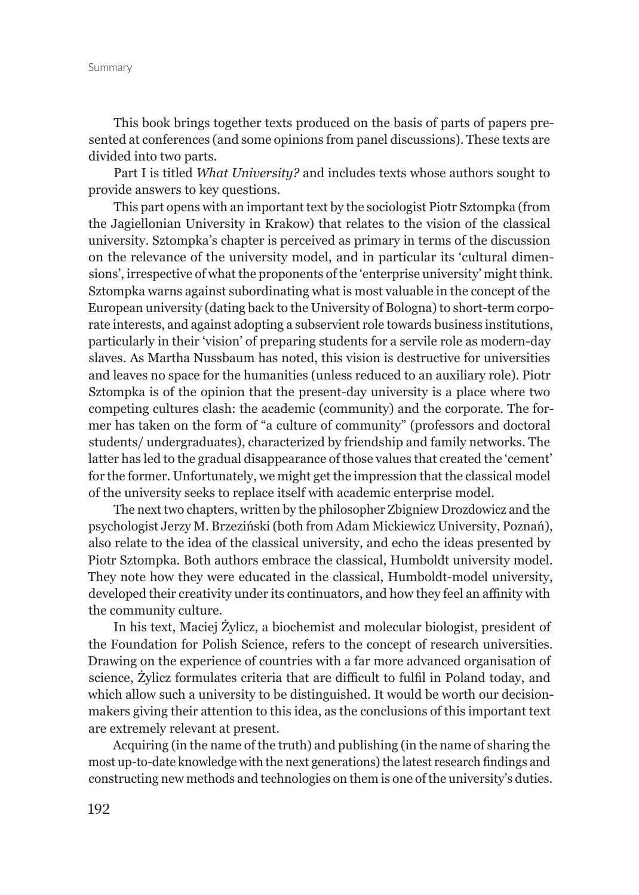This book brings together texts produced on the basis of parts of papers presented at conferences (and some opinions from panel discussions). These texts are divided into two parts.

Part I is titled *What University?* and includes texts whose authors sought to provide answers to key questions.

This part opens with an important text by the sociologist Piotr Sztompka (from the Jagiellonian University in Krakow) that relates to the vision of the classical university. Sztompka's chapter is perceived as primary in terms of the discussion on the relevance of the university model, and in particular its 'cultural dimensions', irrespective of what the proponents of the 'enterprise university' might think. Sztompka warns against subordinating what is most valuable in the concept of the European university (dating back to the University of Bologna) to short-term corporate interests, and against adopting a subservient role towards business institutions, particularly in their 'vision' of preparing students for a servile role as modern-day slaves. As Martha Nussbaum has noted, this vision is destructive for universities and leaves no space for the humanities (unless reduced to an auxiliary role). Piotr Sztompka is of the opinion that the present-day university is a place where two competing cultures clash: the academic (community) and the corporate. The former has taken on the form of "a culture of community" (professors and doctoral students/ undergraduates), characterized by friendship and family networks. The latter has led to the gradual disappearance of those values that created the 'cement' for the former. Unfortunately, we might get the impression that the classical model of the university seeks to replace itself with academic enterprise model.

The next two chapters, written by the philosopher Zbigniew Drozdowicz and the psychologist Jerzy M. Brzeziński (both from Adam Mickiewicz University, Poznań), also relate to the idea of the classical university, and echo the ideas presented by Piotr Sztompka. Both authors embrace the classical, Humboldt university model. They note how they were educated in the classical, Humboldt-model university, developed their creativity under its continuators, and how they feel an affinity with the community culture.

In his text, Maciej Żylicz, a biochemist and molecular biologist, president of the Foundation for Polish Science, refers to the concept of research universities. Drawing on the experience of countries with a far more advanced organisation of science, Żylicz formulates criteria that are difficult to fulfil in Poland today, and which allow such a university to be distinguished. It would be worth our decisionmakers giving their attention to this idea, as the conclusions of this important text are extremely relevant at present.

Acquiring (in the name of the truth) and publishing (in the name of sharing the most up-to-date knowledge with the next generations) the latest research findings and constructing new methods and technologies on them is one of the university's duties.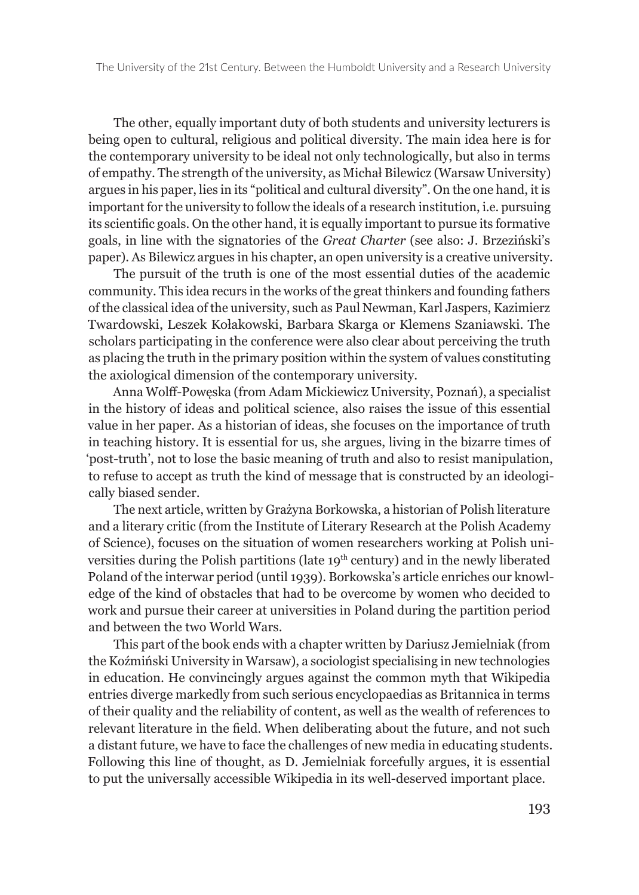The other, equally important duty of both students and university lecturers is being open to cultural, religious and political diversity. The main idea here is for the contemporary university to be ideal not only technologically, but also in terms of empathy. The strength of the university, as Michał Bilewicz (Warsaw University) argues in his paper, lies in its "political and cultural diversity". On the one hand, it is important for the university to follow the ideals of a research institution, i.e. pursuing its scientific goals. On the other hand, it is equally important to pursue its formative goals, in line with the signatories of the *Great Charter* (see also: J. Brzeziński's paper). As Bilewicz argues in his chapter, an open university is a creative university.

The pursuit of the truth is one of the most essential duties of the academic community. This idea recurs in the works of the great thinkers and founding fathers of the classical idea of the university, such as Paul Newman, Karl Jaspers, Kazimierz Twardowski, Leszek Kołakowski, Barbara Skarga or Klemens Szaniawski. The scholars participating in the conference were also clear about perceiving the truth as placing the truth in the primary position within the system of values constituting the axiological dimension of the contemporary university.

Anna Wolff-Powęska (from Adam Mickiewicz University, Poznań), a specialist in the history of ideas and political science, also raises the issue of this essential value in her paper. As a historian of ideas, she focuses on the importance of truth in teaching history. It is essential for us, she argues, living in the bizarre times of 'post-truth', not to lose the basic meaning of truth and also to resist manipulation, to refuse to accept as truth the kind of message that is constructed by an ideologically biased sender.

The next article, written by Grażyna Borkowska, a historian of Polish literature and a literary critic (from the Institute of Literary Research at the Polish Academy of Science), focuses on the situation of women researchers working at Polish universities during the Polish partitions (late 19<sup>th</sup> century) and in the newly liberated Poland of the interwar period (until 1939). Borkowska's article enriches our knowledge of the kind of obstacles that had to be overcome by women who decided to work and pursue their career at universities in Poland during the partition period and between the two World Wars.

This part of the book ends with a chapter written by Dariusz Jemielniak (from the Koźmiński University in Warsaw), a sociologist specialising in new technologies in education. He convincingly argues against the common myth that Wikipedia entries diverge markedly from such serious encyclopaedias as Britannica in terms of their quality and the reliability of content, as well as the wealth of references to relevant literature in the field. When deliberating about the future, and not such a distant future, we have to face the challenges of new media in educating students. Following this line of thought, as D. Jemielniak forcefully argues, it is essential to put the universally accessible Wikipedia in its well-deserved important place.